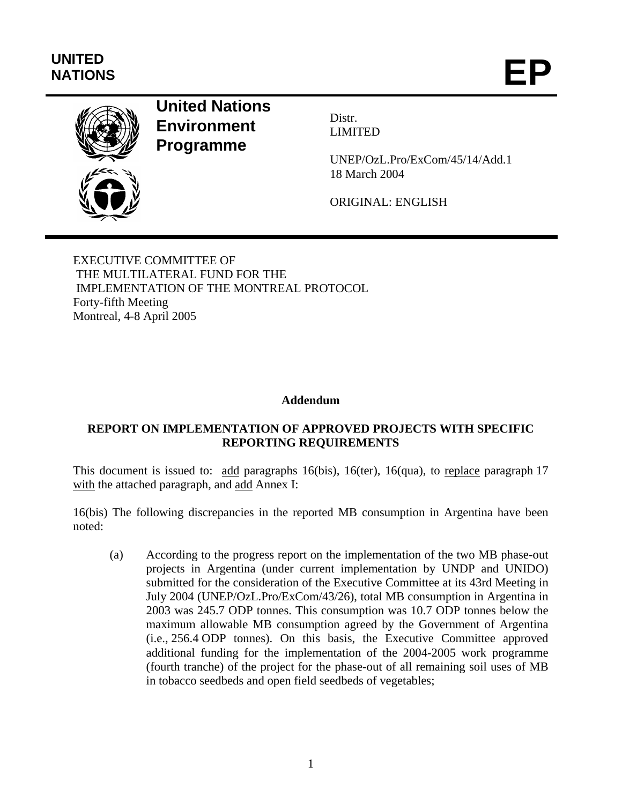# **UNITED**  UNITED<br>NATIONS **EP**



## **United Nations Environment Programme**

Distr. LIMITED

UNEP/OzL.Pro/ExCom/45/14/Add.1 18 March 2004

ORIGINAL: ENGLISH

EXECUTIVE COMMITTEE OF THE MULTILATERAL FUND FOR THE IMPLEMENTATION OF THE MONTREAL PROTOCOL Forty-fifth Meeting Montreal, 4-8 April 2005

## **Addendum**

## **REPORT ON IMPLEMENTATION OF APPROVED PROJECTS WITH SPECIFIC REPORTING REQUIREMENTS**

This document is issued to: add paragraphs 16(bis), 16(ter), 16(qua), to replace paragraph 17 with the attached paragraph, and add Annex I:

16(bis) The following discrepancies in the reported MB consumption in Argentina have been noted:

(a) According to the progress report on the implementation of the two MB phase-out projects in Argentina (under current implementation by UNDP and UNIDO) submitted for the consideration of the Executive Committee at its 43rd Meeting in July 2004 (UNEP/OzL.Pro/ExCom/43/26), total MB consumption in Argentina in 2003 was 245.7 ODP tonnes. This consumption was 10.7 ODP tonnes below the maximum allowable MB consumption agreed by the Government of Argentina (i.e., 256.4 ODP tonnes). On this basis, the Executive Committee approved additional funding for the implementation of the 2004-2005 work programme (fourth tranche) of the project for the phase-out of all remaining soil uses of MB in tobacco seedbeds and open field seedbeds of vegetables;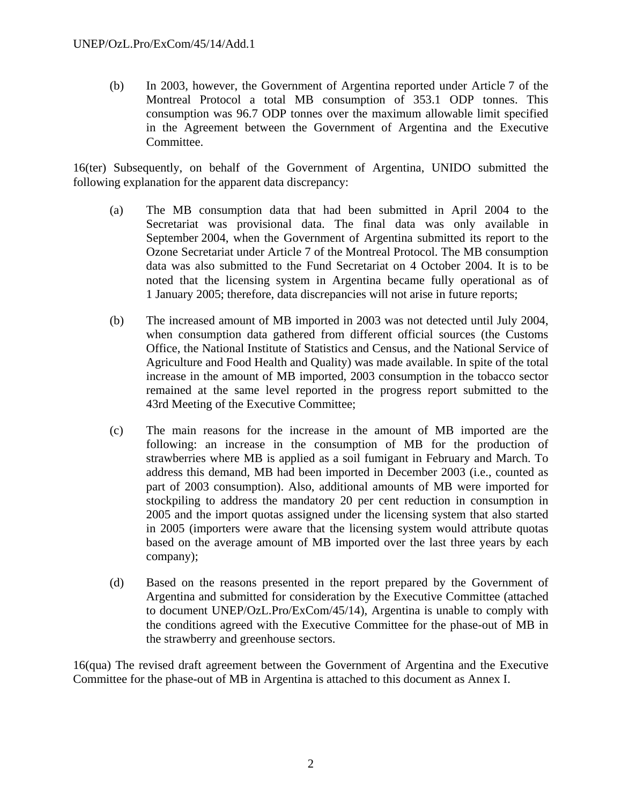(b) In 2003, however, the Government of Argentina reported under Article 7 of the Montreal Protocol a total MB consumption of 353.1 ODP tonnes. This consumption was 96.7 ODP tonnes over the maximum allowable limit specified in the Agreement between the Government of Argentina and the Executive Committee.

16(ter) Subsequently, on behalf of the Government of Argentina, UNIDO submitted the following explanation for the apparent data discrepancy:

- (a) The MB consumption data that had been submitted in April 2004 to the Secretariat was provisional data. The final data was only available in September 2004, when the Government of Argentina submitted its report to the Ozone Secretariat under Article 7 of the Montreal Protocol. The MB consumption data was also submitted to the Fund Secretariat on 4 October 2004. It is to be noted that the licensing system in Argentina became fully operational as of 1 January 2005; therefore, data discrepancies will not arise in future reports;
- (b) The increased amount of MB imported in 2003 was not detected until July 2004, when consumption data gathered from different official sources (the Customs Office, the National Institute of Statistics and Census, and the National Service of Agriculture and Food Health and Quality) was made available. In spite of the total increase in the amount of MB imported, 2003 consumption in the tobacco sector remained at the same level reported in the progress report submitted to the 43rd Meeting of the Executive Committee;
- (c) The main reasons for the increase in the amount of MB imported are the following: an increase in the consumption of MB for the production of strawberries where MB is applied as a soil fumigant in February and March. To address this demand, MB had been imported in December 2003 (i.e., counted as part of 2003 consumption). Also, additional amounts of MB were imported for stockpiling to address the mandatory 20 per cent reduction in consumption in 2005 and the import quotas assigned under the licensing system that also started in 2005 (importers were aware that the licensing system would attribute quotas based on the average amount of MB imported over the last three years by each company);
- (d) Based on the reasons presented in the report prepared by the Government of Argentina and submitted for consideration by the Executive Committee (attached to document UNEP/OzL.Pro/ExCom/45/14), Argentina is unable to comply with the conditions agreed with the Executive Committee for the phase-out of MB in the strawberry and greenhouse sectors.

16(qua) The revised draft agreement between the Government of Argentina and the Executive Committee for the phase-out of MB in Argentina is attached to this document as Annex I.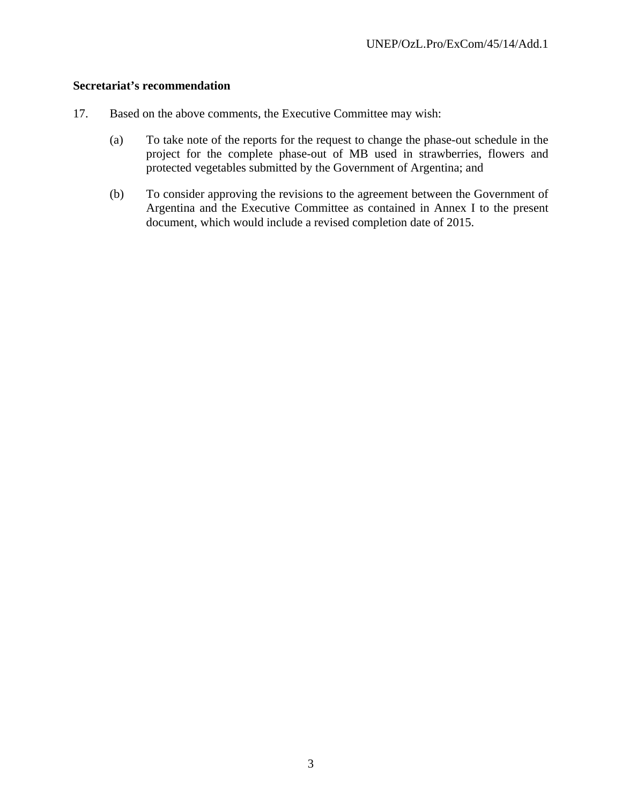#### **Secretariat's recommendation**

- 17. Based on the above comments, the Executive Committee may wish:
	- (a) To take note of the reports for the request to change the phase-out schedule in the project for the complete phase-out of MB used in strawberries, flowers and protected vegetables submitted by the Government of Argentina; and
	- (b) To consider approving the revisions to the agreement between the Government of Argentina and the Executive Committee as contained in Annex I to the present document, which would include a revised completion date of 2015.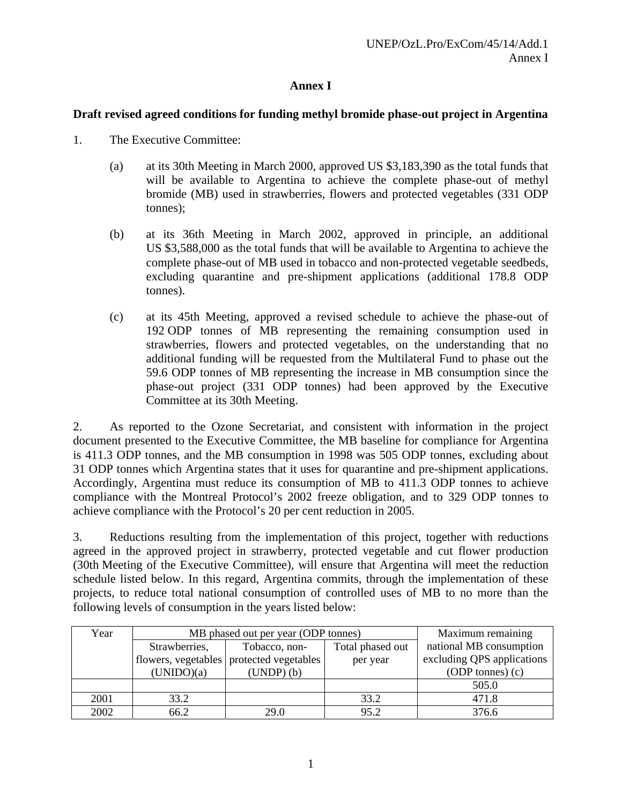## **Annex I**

## **Draft revised agreed conditions for funding methyl bromide phase-out project in Argentina**

- 1. The Executive Committee:
	- (a) at its 30th Meeting in March 2000, approved US \$3,183,390 as the total funds that will be available to Argentina to achieve the complete phase-out of methyl bromide (MB) used in strawberries, flowers and protected vegetables (331 ODP tonnes);
	- (b) at its 36th Meeting in March 2002, approved in principle, an additional US \$3,588,000 as the total funds that will be available to Argentina to achieve the complete phase-out of MB used in tobacco and non-protected vegetable seedbeds, excluding quarantine and pre-shipment applications (additional 178.8 ODP tonnes).
	- (c) at its 45th Meeting, approved a revised schedule to achieve the phase-out of 192 ODP tonnes of MB representing the remaining consumption used in strawberries, flowers and protected vegetables, on the understanding that no additional funding will be requested from the Multilateral Fund to phase out the 59.6 ODP tonnes of MB representing the increase in MB consumption since the phase-out project (331 ODP tonnes) had been approved by the Executive Committee at its 30th Meeting.

2. As reported to the Ozone Secretariat, and consistent with information in the project document presented to the Executive Committee, the MB baseline for compliance for Argentina is 411.3 ODP tonnes, and the MB consumption in 1998 was 505 ODP tonnes, excluding about 31 ODP tonnes which Argentina states that it uses for quarantine and pre-shipment applications. Accordingly, Argentina must reduce its consumption of MB to 411.3 ODP tonnes to achieve compliance with the Montreal Protocol's 2002 freeze obligation, and to 329 ODP tonnes to achieve compliance with the Protocol's 20 per cent reduction in 2005.

3. Reductions resulting from the implementation of this project, together with reductions agreed in the approved project in strawberry, protected vegetable and cut flower production (30th Meeting of the Executive Committee), will ensure that Argentina will meet the reduction schedule listed below. In this regard, Argentina commits, through the implementation of these projects, to reduce total national consumption of controlled uses of MB to no more than the following levels of consumption in the years listed below:

| Year | MB phased out per year (ODP tonnes) | Maximum remaining                        |                  |                            |
|------|-------------------------------------|------------------------------------------|------------------|----------------------------|
|      | Strawberries,                       | Tobacco, non-                            | Total phased out | national MB consumption    |
|      |                                     | flowers, vegetables protected vegetables | per year         | excluding QPS applications |
|      | (UNIDO)(a)                          | $(UNDP)$ $(b)$                           |                  | $(ODP \t{ }$ (c)           |
|      |                                     |                                          |                  | 505.0                      |
| 2001 | 33.2                                |                                          | 33.2             | 471.8                      |
| 2002 | 66.2                                | 29.0                                     | 95.2             | 376.6                      |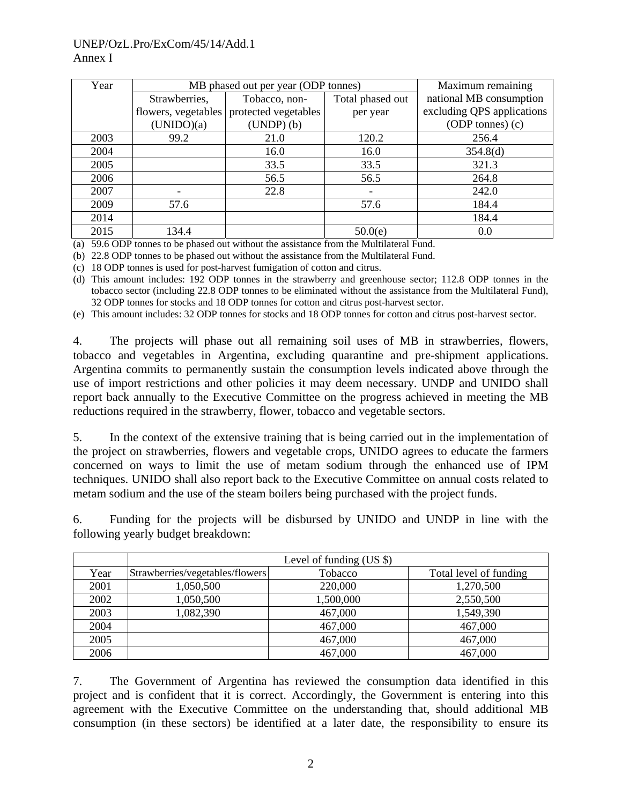### UNEP/OzL.Pro/ExCom/45/14/Add.1 Annex I

| Year | MB phased out per year (ODP tonnes) | Maximum remaining    |                          |                            |  |  |
|------|-------------------------------------|----------------------|--------------------------|----------------------------|--|--|
|      | Strawberries,                       | Tobacco, non-        | Total phased out         | national MB consumption    |  |  |
|      | flowers, vegetables                 | protected vegetables | per year                 | excluding QPS applications |  |  |
|      | (UNIDO)(a)                          | $(UNDP)$ $(b)$       |                          | $(ODP \t{ }$ (c)           |  |  |
| 2003 | 99.2                                | 21.0                 | 120.2                    | 256.4                      |  |  |
| 2004 |                                     | 16.0                 | 16.0                     | 354.8(d)                   |  |  |
| 2005 |                                     | 33.5                 | 33.5                     | 321.3                      |  |  |
| 2006 |                                     | 56.5                 | 56.5                     | 264.8                      |  |  |
| 2007 |                                     | 22.8                 | $\overline{\phantom{a}}$ | 242.0                      |  |  |
| 2009 | 57.6                                |                      | 57.6                     | 184.4                      |  |  |
| 2014 |                                     |                      |                          | 184.4                      |  |  |
| 2015 | 134.4                               |                      | 50.0(e)                  | 0.0                        |  |  |

(a) 59.6 ODP tonnes to be phased out without the assistance from the Multilateral Fund.

(b) 22.8 ODP tonnes to be phased out without the assistance from the Multilateral Fund.

(c) 18 ODP tonnes is used for post-harvest fumigation of cotton and citrus.

(d) This amount includes: 192 ODP tonnes in the strawberry and greenhouse sector; 112.8 ODP tonnes in the tobacco sector (including 22.8 ODP tonnes to be eliminated without the assistance from the Multilateral Fund), 32 ODP tonnes for stocks and 18 ODP tonnes for cotton and citrus post-harvest sector.

(e) This amount includes: 32 ODP tonnes for stocks and 18 ODP tonnes for cotton and citrus post-harvest sector.

4. The projects will phase out all remaining soil uses of MB in strawberries, flowers, tobacco and vegetables in Argentina, excluding quarantine and pre-shipment applications. Argentina commits to permanently sustain the consumption levels indicated above through the use of import restrictions and other policies it may deem necessary. UNDP and UNIDO shall report back annually to the Executive Committee on the progress achieved in meeting the MB reductions required in the strawberry, flower, tobacco and vegetable sectors.

5. In the context of the extensive training that is being carried out in the implementation of the project on strawberries, flowers and vegetable crops, UNIDO agrees to educate the farmers concerned on ways to limit the use of metam sodium through the enhanced use of IPM techniques. UNIDO shall also report back to the Executive Committee on annual costs related to metam sodium and the use of the steam boilers being purchased with the project funds.

| 6. |                                    |  |  | Funding for the projects will be disbursed by UNIDO and UNDP in line with the |  |  |  |  |
|----|------------------------------------|--|--|-------------------------------------------------------------------------------|--|--|--|--|
|    | following yearly budget breakdown: |  |  |                                                                               |  |  |  |  |
|    |                                    |  |  |                                                                               |  |  |  |  |

|      | Level of funding $(US \$ )      |           |                        |  |  |  |  |  |  |
|------|---------------------------------|-----------|------------------------|--|--|--|--|--|--|
| Year | Strawberries/vegetables/flowers | Tobacco   | Total level of funding |  |  |  |  |  |  |
| 2001 | 1,050,500                       | 220,000   | 1,270,500              |  |  |  |  |  |  |
| 2002 | 1,050,500                       | 1,500,000 | 2,550,500              |  |  |  |  |  |  |
| 2003 | 1,082,390                       | 467,000   | 1,549,390              |  |  |  |  |  |  |
| 2004 |                                 | 467,000   | 467,000                |  |  |  |  |  |  |
| 2005 |                                 | 467,000   | 467,000                |  |  |  |  |  |  |
| 2006 |                                 | 467,000   | 467,000                |  |  |  |  |  |  |

7. The Government of Argentina has reviewed the consumption data identified in this project and is confident that it is correct. Accordingly, the Government is entering into this agreement with the Executive Committee on the understanding that, should additional MB consumption (in these sectors) be identified at a later date, the responsibility to ensure its